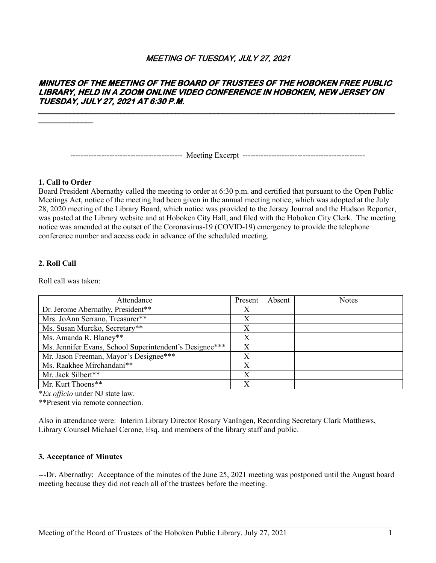# MEETING OF TUESDAY, JULY 27, 2021

# **MINUTES OF THE MEETING OF THE BOARD OF TRUSTEES OF THE HOBOKEN FREE PUBLIC LIBRARY, HELD IN A ZOOM ONLINE VIDEO CONFERENCE IN HOBOKEN, NEW JERSEY ON TUESDAY, JULY 27, 2021 AT 6:30 P.M.**

------------------------------------------- Meeting Excerpt -----------------------------------------------

#### **1. Call to Order**

Board President Abernathy called the meeting to order at 6:30 p.m. and certified that pursuant to the Open Public Meetings Act, notice of the meeting had been given in the annual meeting notice, which was adopted at the July 28, 2020 meeting of the Library Board, which notice was provided to the Jersey Journal and the Hudson Reporter, was posted at the Library website and at Hoboken City Hall, and filed with the Hoboken City Clerk. The meeting notice was amended at the outset of the Coronavirus-19 (COVID-19) emergency to provide the telephone conference number and access code in advance of the scheduled meeting.

### **2. Roll Call**

Roll call was taken:

| Attendance                                              | Present | Absent | <b>Notes</b> |
|---------------------------------------------------------|---------|--------|--------------|
| Dr. Jerome Abernathy, President**                       | X       |        |              |
| Mrs. JoAnn Serrano, Treasurer**                         | Χ       |        |              |
| Ms. Susan Murcko, Secretary**                           | X       |        |              |
| Ms. Amanda R. Blaney**                                  | X       |        |              |
| Ms. Jennifer Evans, School Superintendent's Designee*** | X       |        |              |
| Mr. Jason Freeman, Mayor's Designee***                  | Χ       |        |              |
| Ms. Raakhee Mirchandani**                               | X       |        |              |
| Mr. Jack Silbert**                                      | Х       |        |              |
| Mr. Kurt Thoens**                                       | X       |        |              |

\**Ex officio* under NJ state law.

\*\*Present via remote connection.

Also in attendance were: Interim Library Director Rosary VanIngen, Recording Secretary Clark Matthews, Library Counsel Michael Cerone, Esq. and members of the library staff and public.

### **3. Acceptance of Minutes**

---Dr. Abernathy: Acceptance of the minutes of the June 25, 2021 meeting was postponed until the August board meeting because they did not reach all of the trustees before the meeting.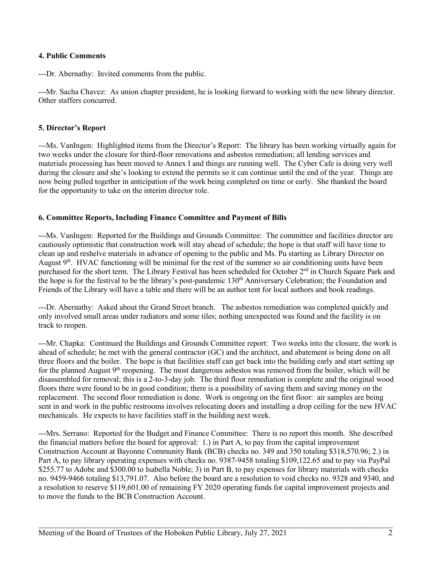### **4. Public Comments**

---Dr. Abernathy: Invited comments from the public.

---Mr. Sacha Chavez: As union chapter president, he is looking forward to working with the new library director. Other staffers concurred.

## **5. Director's Report**

---Ms. VanIngen: Highlighted items from the Director's Report: The library has been working virtually again for two weeks under the closure for third-floor renovations and asbestos remediation; all lending services and materials processing has been moved to Annex I and things are running well. The Cyber Cafe is doing very well during the closure and she's looking to extend the permits so it can continue until the end of the year. Things are now being pulled together in anticipation of the work being completed on time or early. She thanked the board for the opportunity to take on the interim director role.

### **6. Committee Reports, Including Finance Committee and Payment of Bills**

---Ms. VanIngen: Reported for the Buildings and Grounds Committee: The committee and facilities director are cautiously optimistic that construction work will stay ahead of schedule; the hope is that staff will have time to clean up and reshelve materials in advance of opening to the public and Ms. Pu starting as Library Director on August 9<sup>th</sup>. HVAC functioning will be minimal for the rest of the summer so air conditioning units have been purchased for the short term. The Library Festival has been scheduled for October 2<sup>nd</sup> in Church Square Park and the hope is for the festival to be the library's post-pandemic 130<sup>th</sup> Anniversary Celebration; the Foundation and Friends of the Library will have a table and there will be an author tent for local authors and book readings.

---Dr. Abernathy: Asked about the Grand Street branch. The asbestos remediation was completed quickly and only involved small areas under radiators and some tiles; nothing unexpected was found and the facility is on track to reopen.

---Mr. Chapka: Continued the Buildings and Grounds Committee report: Two weeks into the closure, the work is ahead of schedule; he met with the general contractor (GC) and the architect, and abatement is being done on all three floors and the boiler. The hope is that facilities staff can get back into the building early and start setting up for the planned August  $9<sup>th</sup>$  reopening. The most dangerous asbestos was removed from the boiler, which will be disassembled for removal; this is a 2-to-3-day job. The third floor remediation is complete and the original wood floors there were found to be in good condition; there is a possibility of saving them and saving money on the replacement. The second floor remediation is done. Work is ongoing on the first floor: air samples are being sent in and work in the public restrooms involves relocating doors and installing a drop ceiling for the new HVAC mechanicals. He expects to have facilities staff in the building next week.

---Mrs. Serrano: Reported for the Budget and Finance Committee: There is no report this month. She described the financial matters before the board for approval: 1.) in Part A, to pay from the capital improvement Construction Account at Bayonne Community Bank (BCB) checks no. 349 and 350 totaling \$318,570.96; 2.) in Part A, to pay library operating expenses with checks no. 9387-9458 totaling \$109,122.65 and to pay via PayPal \$255.77 to Adobe and \$300.00 to Isabella Noble; 3) in Part B, to pay expenses for library materials with checks no. 9459-9466 totaling \$13,791.07. Also before the board are a resolution to void checks no. 9328 and 9340, and a resolution to reserve \$119,601.00 of remaining FY 2020 operating funds for capital improvement projects and to move the funds to the BCB Construction Account.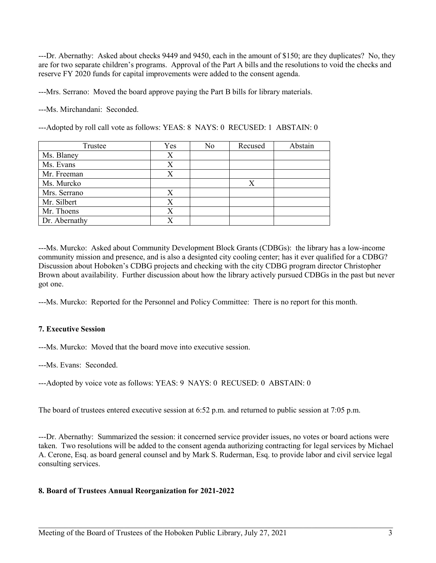---Dr. Abernathy: Asked about checks 9449 and 9450, each in the amount of \$150; are they duplicates? No, they are for two separate children's programs. Approval of the Part A bills and the resolutions to void the checks and reserve FY 2020 funds for capital improvements were added to the consent agenda.

---Mrs. Serrano: Moved the board approve paying the Part B bills for library materials.

---Ms. Mirchandani: Seconded.

---Adopted by roll call vote as follows: YEAS: 8 NAYS: 0 RECUSED: 1 ABSTAIN: 0

| Trustee       | Yes | No | Recused | Abstain |
|---------------|-----|----|---------|---------|
| Ms. Blaney    | X   |    |         |         |
| Ms. Evans     | Х   |    |         |         |
| Mr. Freeman   | X   |    |         |         |
| Ms. Murcko    |     |    | Χ       |         |
| Mrs. Serrano  | X   |    |         |         |
| Mr. Silbert   | X   |    |         |         |
| Mr. Thoens    |     |    |         |         |
| Dr. Abernathy |     |    |         |         |

---Ms. Murcko: Asked about Community Development Block Grants (CDBGs): the library has a low-income community mission and presence, and is also a designted city cooling center; has it ever qualified for a CDBG? Discussion about Hoboken's CDBG projects and checking with the city CDBG program director Christopher Brown about availability. Further discussion about how the library actively pursued CDBGs in the past but never got one.

---Ms. Murcko: Reported for the Personnel and Policy Committee: There is no report for this month.

## **7. Executive Session**

---Ms. Murcko: Moved that the board move into executive session.

---Ms. Evans: Seconded.

---Adopted by voice vote as follows: YEAS: 9 NAYS: 0 RECUSED: 0 ABSTAIN: 0

The board of trustees entered executive session at 6:52 p.m. and returned to public session at 7:05 p.m.

---Dr. Abernathy: Summarized the session: it concerned service provider issues, no votes or board actions were taken. Two resolutions will be added to the consent agenda authorizing contracting for legal services by Michael A. Cerone, Esq. as board general counsel and by Mark S. Ruderman, Esq. to provide labor and civil service legal consulting services.

\_\_\_\_\_\_\_\_\_\_\_\_\_\_\_\_\_\_\_\_\_\_\_\_\_\_\_\_\_\_\_\_\_\_\_\_\_\_\_\_\_\_\_\_\_\_\_\_\_\_\_\_\_\_\_\_\_\_\_\_\_\_\_\_\_\_\_\_\_\_\_\_\_\_\_\_\_\_\_\_\_\_\_

## **8. Board of Trustees Annual Reorganization for 2021-2022**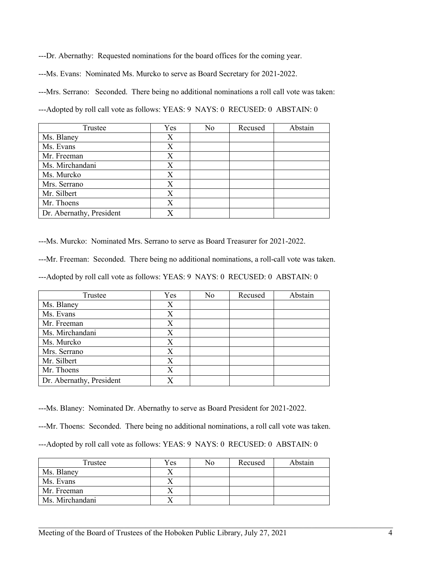---Dr. Abernathy: Requested nominations for the board offices for the coming year.

---Ms. Evans: Nominated Ms. Murcko to serve as Board Secretary for 2021-2022.

---Mrs. Serrano: Seconded. There being no additional nominations a roll call vote was taken:

---Adopted by roll call vote as follows: YEAS: 9 NAYS: 0 RECUSED: 0 ABSTAIN: 0

| Trustee                  | Yes | No | Recused | Abstain |
|--------------------------|-----|----|---------|---------|
| Ms. Blaney               | Χ   |    |         |         |
| Ms. Evans                | X   |    |         |         |
| Mr. Freeman              | X   |    |         |         |
| Ms. Mirchandani          | X   |    |         |         |
| Ms. Murcko               | X   |    |         |         |
| Mrs. Serrano             | X   |    |         |         |
| Mr. Silbert              | X   |    |         |         |
| Mr. Thoens               | X   |    |         |         |
| Dr. Abernathy, President |     |    |         |         |

---Ms. Murcko: Nominated Mrs. Serrano to serve as Board Treasurer for 2021-2022.

---Mr. Freeman: Seconded. There being no additional nominations, a roll-call vote was taken.

---Adopted by roll call vote as follows: YEAS: 9 NAYS: 0 RECUSED: 0 ABSTAIN: 0

| Trustee                  | Yes | No | Recused | Abstain |
|--------------------------|-----|----|---------|---------|
| Ms. Blaney               | Χ   |    |         |         |
| Ms. Evans                | X   |    |         |         |
| Mr. Freeman              | X   |    |         |         |
| Ms. Mirchandani          | Χ   |    |         |         |
| Ms. Murcko               | X   |    |         |         |
| Mrs. Serrano             | X   |    |         |         |
| Mr. Silbert              | X   |    |         |         |
| Mr. Thoens               | X   |    |         |         |
| Dr. Abernathy, President |     |    |         |         |

---Ms. Blaney: Nominated Dr. Abernathy to serve as Board President for 2021-2022.

---Mr. Thoens: Seconded. There being no additional nominations, a roll call vote was taken.

---Adopted by roll call vote as follows: YEAS: 9 NAYS: 0 RECUSED: 0 ABSTAIN: 0

| Trustee         | Yes | No | Recused | Abstain |
|-----------------|-----|----|---------|---------|
| Ms. Blaney      |     |    |         |         |
| Ms. Evans       |     |    |         |         |
| Mr. Freeman     |     |    |         |         |
| Ms. Mirchandani |     |    |         |         |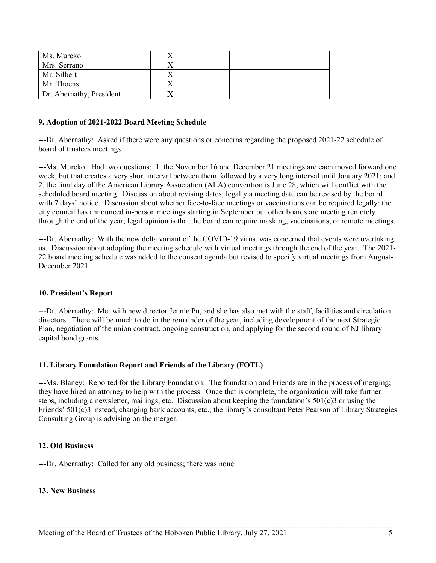| Ms. Murcko               |  |  |
|--------------------------|--|--|
| Mrs. Serrano             |  |  |
| Mr. Silbert              |  |  |
| Mr. Thoens               |  |  |
| Dr. Abernathy, President |  |  |

### **9. Adoption of 2021-2022 Board Meeting Schedule**

---Dr. Abernathy: Asked if there were any questions or concerns regarding the proposed 2021-22 schedule of board of trustees meetings.

---Ms. Murcko: Had two questions: 1. the November 16 and December 21 meetings are each moved forward one week, but that creates a very short interval between them followed by a very long interval until January 2021; and 2. the final day of the American Library Association (ALA) convention is June 28, which will conflict with the scheduled board meeting. Discussion about revising dates; legally a meeting date can be revised by the board with 7 days' notice. Discussion about whether face-to-face meetings or vaccinations can be required legally; the city council has announced in-person meetings starting in September but other boards are meeting remotely through the end of the year; legal opinion is that the board can require masking, vaccinations, or remote meetings.

---Dr. Abernathy: With the new delta variant of the COVID-19 virus, was concerned that events were overtaking us. Discussion about adopting the meeting schedule with virtual meetings through the end of the year. The 2021- 22 board meeting schedule was added to the consent agenda but revised to specify virtual meetings from August-December 2021.

### **10. President's Report**

---Dr. Abernathy: Met with new director Jennie Pu, and she has also met with the staff, facilities and circulation directors. There will be much to do in the remainder of the year, including development of the next Strategic Plan, negotiation of the union contract, ongoing construction, and applying for the second round of NJ library capital bond grants.

#### **11. Library Foundation Report and Friends of the Library (FOTL)**

---Ms. Blaney: Reported for the Library Foundation: The foundation and Friends are in the process of merging; they have hired an attorney to help with the process. Once that is complete, the organization will take further steps, including a newsletter, mailings, etc. Discussion about keeping the foundation's 501(c)3 or using the Friends' 501(c)3 instead, changing bank accounts, etc.; the library's consultant Peter Pearson of Library Strategies Consulting Group is advising on the merger.

\_\_\_\_\_\_\_\_\_\_\_\_\_\_\_\_\_\_\_\_\_\_\_\_\_\_\_\_\_\_\_\_\_\_\_\_\_\_\_\_\_\_\_\_\_\_\_\_\_\_\_\_\_\_\_\_\_\_\_\_\_\_\_\_\_\_\_\_\_\_\_\_\_\_\_\_\_\_\_\_\_\_\_

### **12. Old Business**

---Dr. Abernathy: Called for any old business; there was none.

#### **13. New Business**